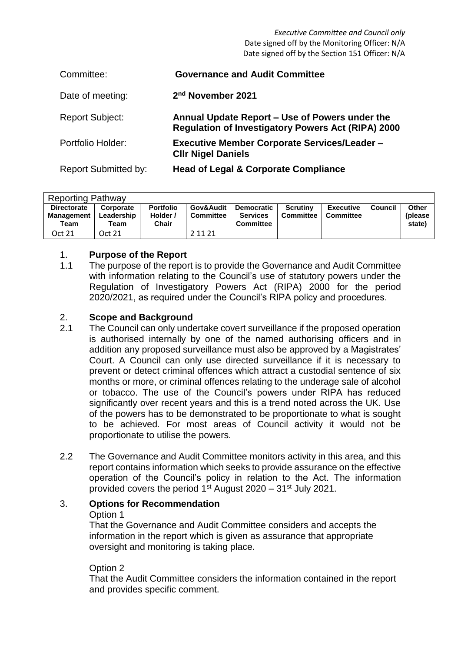*Executive Committee and Council only* Date signed off by the Monitoring Officer: N/A Date signed off by the Section 151 Officer: N/A

| Committee:                  | <b>Governance and Audit Committee</b>                                                                       |
|-----------------------------|-------------------------------------------------------------------------------------------------------------|
| Date of meeting:            | 2 <sup>nd</sup> November 2021                                                                               |
| <b>Report Subject:</b>      | Annual Update Report - Use of Powers under the<br><b>Regulation of Investigatory Powers Act (RIPA) 2000</b> |
| Portfolio Holder:           | <b>Executive Member Corporate Services/Leader -</b><br><b>CIIr Nigel Daniels</b>                            |
| <b>Report Submitted by:</b> | <b>Head of Legal &amp; Corporate Compliance</b>                                                             |

| <b>Reporting Pathway</b>                        |                                 |                                       |                        |                                                          |                              |                               |         |                             |  |  |
|-------------------------------------------------|---------------------------------|---------------------------------------|------------------------|----------------------------------------------------------|------------------------------|-------------------------------|---------|-----------------------------|--|--|
| <b>Directorate</b><br><b>Management</b><br>Team | Corporate<br>Leadership<br>Team | <b>Portfolio</b><br>Holder /<br>Chair | Gov&Audit<br>Committee | <b>Democratic</b><br><b>Services</b><br><b>Committee</b> | <b>Scrutiny</b><br>Committee | <b>Executive</b><br>Committee | Council | Other<br>(please)<br>state) |  |  |
| Oct 21                                          | Oct 21                          |                                       | 2 11 21                |                                                          |                              |                               |         |                             |  |  |

#### 1. **Purpose of the Report**

1.1 The purpose of the report is to provide the Governance and Audit Committee with information relating to the Council's use of statutory powers under the Regulation of Investigatory Powers Act (RIPA) 2000 for the period 2020/2021, as required under the Council's RIPA policy and procedures.

#### 2. **Scope and Background**

- 2.1 The Council can only undertake covert surveillance if the proposed operation is authorised internally by one of the named authorising officers and in addition any proposed surveillance must also be approved by a Magistrates' Court. A Council can only use directed surveillance if it is necessary to prevent or detect criminal offences which attract a custodial sentence of six months or more, or criminal offences relating to the underage sale of alcohol or tobacco. The use of the Council's powers under RIPA has reduced significantly over recent years and this is a trend noted across the UK. Use of the powers has to be demonstrated to be proportionate to what is sought to be achieved. For most areas of Council activity it would not be proportionate to utilise the powers.
- 2.2 The Governance and Audit Committee monitors activity in this area, and this report contains information which seeks to provide assurance on the effective operation of the Council's policy in relation to the Act. The information provided covers the period  $1<sup>st</sup>$  August 2020 –  $31<sup>st</sup>$  July 2021.

## 3. **Options for Recommendation**

#### Option 1

That the Governance and Audit Committee considers and accepts the information in the report which is given as assurance that appropriate oversight and monitoring is taking place.

#### Option 2

That the Audit Committee considers the information contained in the report and provides specific comment.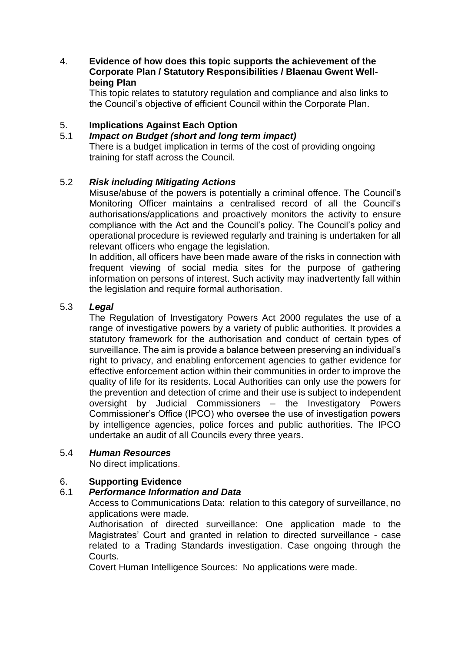## 4. **Evidence of how does this topic supports the achievement of the Corporate Plan / Statutory Responsibilities / Blaenau Gwent Wellbeing Plan**

This topic relates to statutory regulation and compliance and also links to the Council's objective of efficient Council within the Corporate Plan.

## 5. **Implications Against Each Option**

## 5.1 *Impact on Budget (short and long term impact)*

There is a budget implication in terms of the cost of providing ongoing training for staff across the Council.

#### 5.2 *Risk including Mitigating Actions*

Misuse/abuse of the powers is potentially a criminal offence. The Council's Monitoring Officer maintains a centralised record of all the Council's authorisations/applications and proactively monitors the activity to ensure compliance with the Act and the Council's policy. The Council's policy and operational procedure is reviewed regularly and training is undertaken for all relevant officers who engage the legislation.

In addition, all officers have been made aware of the risks in connection with frequent viewing of social media sites for the purpose of gathering information on persons of interest. Such activity may inadvertently fall within the legislation and require formal authorisation.

#### 5.3 *Legal*

The Regulation of Investigatory Powers Act 2000 regulates the use of a range of investigative powers by a variety of public authorities. It provides a statutory framework for the authorisation and conduct of certain types of surveillance. The aim is provide a balance between preserving an individual's right to privacy, and enabling enforcement agencies to gather evidence for effective enforcement action within their communities in order to improve the quality of life for its residents. Local Authorities can only use the powers for the prevention and detection of crime and their use is subject to independent oversight by Judicial Commissioners – the Investigatory Powers Commissioner's Office (IPCO) who oversee the use of investigation powers by intelligence agencies, police forces and public authorities. The IPCO undertake an audit of all Councils every three years.

#### 5.4 *Human Resources*

No direct implications.

#### 6. **Supporting Evidence**

#### 6.1 *Performance Information and Data*

Access to Communications Data: relation to this category of surveillance, no applications were made.

Authorisation of directed surveillance: One application made to the Magistrates' Court and granted in relation to directed surveillance - case related to a Trading Standards investigation. Case ongoing through the Courts.

Covert Human Intelligence Sources: No applications were made.